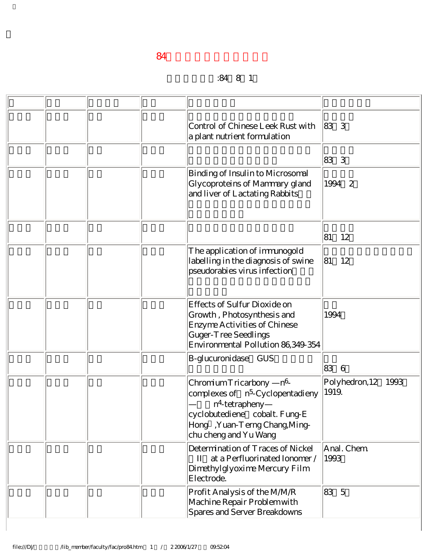## 升等生效日期:84年8月1日

|  |  | Control of Chinese Leek Rust with<br>a plant nutrient formulation                                                                                                                          | 83 3                            |
|--|--|--------------------------------------------------------------------------------------------------------------------------------------------------------------------------------------------|---------------------------------|
|  |  |                                                                                                                                                                                            | 83 3                            |
|  |  | Binding of Insulin to Microsomal<br>Glycoproteins of Mammary gland<br>and liver of Lactating Rabbits                                                                                       | 1994 2                          |
|  |  |                                                                                                                                                                                            | 81<br>12                        |
|  |  | The application of immunogold<br>labelling in the diagnosis of swine<br>pseudorabies virus infection                                                                                       | 81<br>12                        |
|  |  | Effects of Sulfur Dioxide on<br>Growth, Photosynthesis and<br>Enzyme Activities of Chinese<br>Guger-Tree Seedlings<br>Environmental Pollution 86,349-354                                   | 1994                            |
|  |  | B-glucuronidase GUS                                                                                                                                                                        | 836                             |
|  |  | $n^6$<br>Chromium Tricarbony<br>complexes of n <sup>5</sup> -Cyclopentadieny<br>$n4$ tetrapheny<br>cyclobutediene cobalt. Fung-E<br>Hong, Yuan-Terng Chang, Ming-<br>chu cheng and Yu Wang | Polyhedron, 12<br>1993<br>1919. |
|  |  | Determination of Traces of Nickel<br>II at a Perfluorinated Ionomer /<br>Dimethylglyoxime Mercury Film<br>Electrode.                                                                       | Anal. Chem<br>1993              |
|  |  | Profit Analysis of the MM/R<br>Machine Repair Problem with<br>Spares and Server Breakdowns                                                                                                 | 83 5                            |